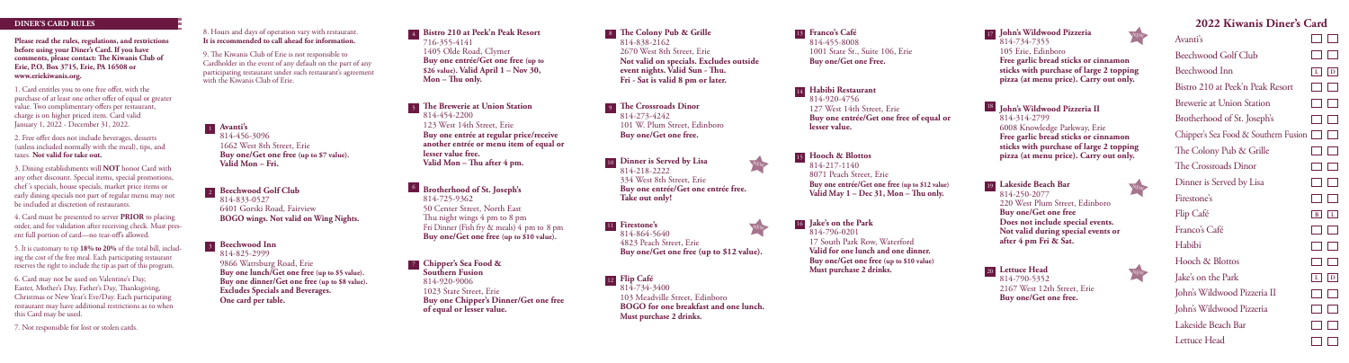## **DINER'S CARD RULES**

**Please read the rules, regulations, and restrictions before using your Diner's Card. If you have comments, please contact: The Kiwanis Club of Erie, P.O. Box 3715, Erie, PA 16508 or www.eriekiwanis.org.**

1. Card entitles you to one free offer, with the purchase of at least one other offer of equal or greater value. Two complimentary offers per restaurant, charge is on higher priced item. Card valid January 1, 2022 - December 31, 2022.

2. Free offer does not include beverages, desserts (unless included normally with the meal), tips, and taxes. **Not valid for take out.**

3. Dining establishments will **NOT** honor Card with any other discount. Special items, special promotions, chef 's specials, house specials, market price items or early dining specials not part of regular menu may not be included at discretion of restaurants.

4. Card must be presented to server **PRIOR** to placing order, and for validation after receiving check. Must present full portion of card—no tear-off's allowed.

5. It is customary to tip **18% to 20%** of the total bill, including the cost of the free meal. Each participating restaurant reserves the right to include the tip as part of this program.

6. Card may not be used on Valentine's Day, Easter, Mother's Day, Father's Day, Thanksgiving, Christmas or New Year's Eve/Day. Each participating restaurant may have additional restrictions as to when this Card may be used.

7. Not responsible for lost or stolen cards.

8. Hours and days of operation vary with restaurant. **It is recommended to call ahead for information.**

**Avanti's** 1 814-456-3096 1662 West 8th Street, Erie **Buy one/Get one free (up to \$7 value).**

**Valid Mon – Fri.**

2 Beechwood Golf Club 814-833-0527 6401 Gorski Road, Fairview **BOGO wings. Not valid on Wing Nights.**

**Beechwood Inn**  3 814-825-2999

9866 Wattsburg Road, Erie

**Buy one lunch/Get one free (up to \$5 value). Buy one dinner/Get one free (up to \$8 value). Excludes Specials and Beverages. One card per table.**

9. The Kiwanis Club of Erie is not responsible to Cardholder in the event of any default on the part of any participating restaurant under such restaurant's agreement with the Kiwanis Club of Erie.

1405 Olde Road, Clymer **Buy one entrée/Get one free (up to \$26 value). Valid April 1 – Nov 30, Mon – Thu only. The Brewerie at Union Station** 5 814-454-2200

716-355-4141

123 West 14th Street, Erie **Buy one entrée at regular price/receive another entrée or menu item of equal or lesser value free. Valid Mon – Thu after 4 pm.**

**Bistro 210 at Peek'n Peak Resort** 4

**Brotherhood of St. Joseph's** 6 814-725-9362 50 Center Street, North East Thu night wings 4 pm to 8 pm Fri Dinner (Fish fry & meals) 4 pm to 8 pm **Buy one/Get one free (up to \$10 value).**

**Chipper's Sea Food &**  7 **Southern Fusion** 814-920-9006 1023 State Street, Erie **Buy one Chipper's Dinner/Get one free of equal or lesser value.**

**The Colony Pub & Grille** 8 814-838-2162 2670 West 8th Street, Erie **Not valid on specials. Excludes outside event nights. Valid Sun - Thu. Fri - Sat is valid 8 pm or later.** 

**The Crossroads Dinor** 9 814-273-4242 101 W. Plum Street, Edinboro **Buy one/Get one free.**

10 **Dinner is Served by Lisa** 814-218-2222 334 West 8th Street, Erie **Buy one entrée/Get one entrée free. Take out only!**

11 **Firestone's** 814-864-5640 4823 Peach Street, Erie **Buy one/Get one free (up to \$12 value).**

**Flip Café** 12 814-734-3400 103 Meadville Street, Edinboro **BOGO for one breakfast and one lunch. Must purchase 2 drinks.**

**Franco's Café** 13 814-455-8008 1001 State St., Suite 106, Erie **Buy one/Get one Free.**

**Habibi Restaurant** 14  $814-920-4756$ 127 West 14th Street, Erie **Buy one entrée/Get one free of equal or lesser value.**

**Hooch & Blottos** 15 814-217-1140 8071 Peach Street, Erie **Buy one entrée/Get one free (up to \$12 value) Valid May 1 – Dec 31, Mon – Thu only.**

**Jake's on the Park** 16 814-796-0201 17 South Park Row, Waterford **Valid for one lunch and one dinner. Buy one/Get one free (up to \$10 value) Must purchase 2 drinks.**

17 John's Wildwood Pizzeria 814-734-7355 105 Erie, Edinboro **Free garlic bread sticks or cinnamon sticks with purchase of large 2 topping pizza (at menu price). Carry out only. John's Wildwood Pizzeria II** 18 814-314-2799 6008 Knowledge Parkway, Erie **Free garlic bread sticks or cinnamon sticks with purchase of large 2 topping** 

**pizza (at menu price). Carry out only.** 19 Lakeside Beach Bar 814-250-2077 220 West Plum Street, Edinboro

**Buy one/Get one free Does not include special events. Not valid during special events or after 4 pm Fri & Sat.**

**Lettuce Head**20 NEW 814-790-5352 2167 West 12th Street, Erie **Buy one/Get one free.**

**2022 Kiwanis Diner's Card**  $\Box$   $\Box$  $\Box$   $\Box$ Beechwood Golf Club **L D** Bistro 210 at Peek'n Peak Resort  $\Box$  $\Box$  $\Box$  $\Box$ Brewerie at Union Station  $\Box$  $\Box$ Brotherhood of St. Joseph's Chipper's Sea Food & Southern Fusion The Colony Pub & Grille  $\Box$  $\Box$  $\Box$ The Crossroads Dinor  $\Box$ Dinner is Served by Lisa  $\Box$   $\Box$ **B L**  $\Box$  $\Box$  $\Box$  $\Box$  $\Box$  $\Box$ **L D**  $\Box$   $\Box$ John's Wildwood Pizzeria II  $\Box$ John's Wildwood Pizzeria  $\Box$ Lakeside Beach Bar  $\Box$  $\Box$ 

Avanti's

Beechwood Inn

Firestone's Flip Café Franco's Café Habibi Hooch & Blottos Jake's on the Park

Lettuce Head